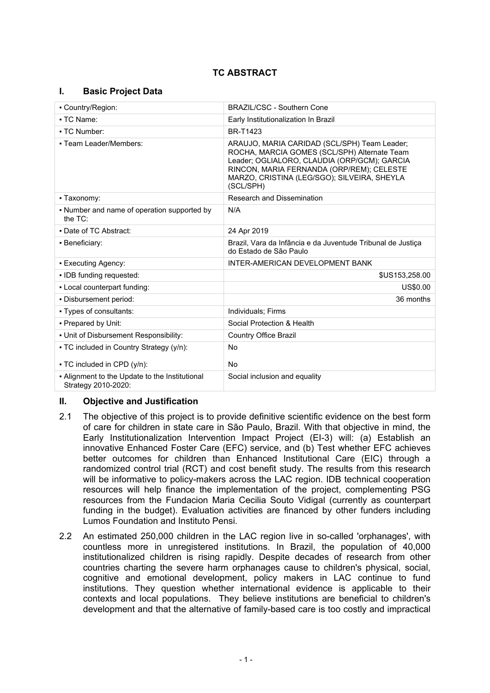# **TC ABSTRACT**

## **I. Basic Project Data**

| • Country/Region:                                                     | <b>BRAZIL/CSC - Southern Cone</b>                                                                                                                                                                                                                     |  |  |
|-----------------------------------------------------------------------|-------------------------------------------------------------------------------------------------------------------------------------------------------------------------------------------------------------------------------------------------------|--|--|
| • TC Name:                                                            | Early Institutionalization In Brazil                                                                                                                                                                                                                  |  |  |
| • TC Number:                                                          | BR-T1423                                                                                                                                                                                                                                              |  |  |
| • Team Leader/Members:                                                | ARAUJO, MARIA CARIDAD (SCL/SPH) Team Leader;<br>ROCHA, MARCIA GOMES (SCL/SPH) Alternate Team<br>Leader; OGLIALORO, CLAUDIA (ORP/GCM); GARCIA<br>RINCON, MARIA FERNANDA (ORP/REM); CELESTE<br>MARZO, CRISTINA (LEG/SGO); SILVEIRA, SHEYLA<br>(SCL/SPH) |  |  |
| • Taxonomy:                                                           | Research and Dissemination                                                                                                                                                                                                                            |  |  |
| • Number and name of operation supported by<br>the $TC$ :             | N/A                                                                                                                                                                                                                                                   |  |  |
| • Date of TC Abstract:                                                | 24 Apr 2019                                                                                                                                                                                                                                           |  |  |
| • Beneficiary:                                                        | Brazil, Vara da Infância e da Juventude Tribunal de Justiça<br>do Estado de São Paulo                                                                                                                                                                 |  |  |
| • Executing Agency:                                                   | INTER-AMERICAN DEVELOPMENT BANK                                                                                                                                                                                                                       |  |  |
| · IDB funding requested:                                              | \$US153,258.00                                                                                                                                                                                                                                        |  |  |
| - Local counterpart funding:                                          | US\$0.00                                                                                                                                                                                                                                              |  |  |
| . Disbursement period:                                                | 36 months                                                                                                                                                                                                                                             |  |  |
| - Types of consultants:                                               | Individuals; Firms                                                                                                                                                                                                                                    |  |  |
| - Prepared by Unit:                                                   | Social Protection & Health                                                                                                                                                                                                                            |  |  |
| • Unit of Disbursement Responsibility:                                | <b>Country Office Brazil</b>                                                                                                                                                                                                                          |  |  |
| • TC included in Country Strategy (y/n):                              | No                                                                                                                                                                                                                                                    |  |  |
| • TC included in CPD (y/n):                                           | No                                                                                                                                                                                                                                                    |  |  |
| - Alignment to the Update to the Institutional<br>Strategy 2010-2020: | Social inclusion and equality                                                                                                                                                                                                                         |  |  |

## **II. Objective and Justification**

- 2.1 The objective of this project is to provide definitive scientific evidence on the best form of care for children in state care in São Paulo, Brazil. With that objective in mind, the Early Institutionalization Intervention Impact Project (EI-3) will: (a) Establish an innovative Enhanced Foster Care (EFC) service, and (b) Test whether EFC achieves better outcomes for children than Enhanced Institutional Care (EIC) through a randomized control trial (RCT) and cost benefit study. The results from this research will be informative to policy-makers across the LAC region. IDB technical cooperation resources will help finance the implementation of the project, complementing PSG resources from the Fundacion Maria Cecilia Souto Vidigal (currently as counterpart funding in the budget). Evaluation activities are financed by other funders including Lumos Foundation and Instituto Pensi.
- 2.2 An estimated 250,000 children in the LAC region live in so-called 'orphanages', with countless more in unregistered institutions. In Brazil, the population of 40,000 institutionalized children is rising rapidly. Despite decades of research from other countries charting the severe harm orphanages cause to children's physical, social, cognitive and emotional development, policy makers in LAC continue to fund institutions. They question whether international evidence is applicable to their contexts and local populations. They believe institutions are beneficial to children's development and that the alternative of family-based care is too costly and impractical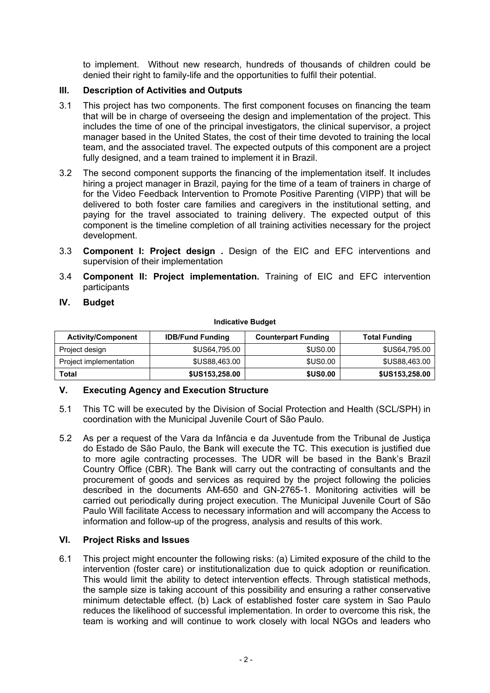to implement. Without new research, hundreds of thousands of children could be denied their right to family-life and the opportunities to fulfil their potential.

## **III. Description of Activities and Outputs**

- 3.1 This project has two components. The first component focuses on financing the team that will be in charge of overseeing the design and implementation of the project. This includes the time of one of the principal investigators, the clinical supervisor, a project manager based in the United States, the cost of their time devoted to training the local team, and the associated travel. The expected outputs of this component are a project fully designed, and a team trained to implement it in Brazil.
- 3.2 The second component supports the financing of the implementation itself. It includes hiring a project manager in Brazil, paying for the time of a team of trainers in charge of for the Video Feedback Intervention to Promote Positive Parenting (VIPP) that will be delivered to both foster care families and caregivers in the institutional setting, and paying for the travel associated to training delivery. The expected output of this component is the timeline completion of all training activities necessary for the project development.
- 3.3 **Component I: Project design .** Design of the EIC and EFC interventions and supervision of their implementation
- 3.4 **Component II: Project implementation.** Training of EIC and EFC intervention participants
- **IV. Budget**

#### **Indicative Budget**

| <b>Activity/Component</b> | <b>IDB/Fund Funding</b> | <b>Counterpart Funding</b> | <b>Total Funding</b>  |
|---------------------------|-------------------------|----------------------------|-----------------------|
| Project design            | \$US64,795,00           | <b>\$US0.00</b>            | \$US64,795.00         |
| Project implementation    | \$US88,463.00           | \$US0.00                   | \$US88,463.00         |
| Total                     | <b>\$US153,258.00</b>   | <b>\$US0.00</b>            | <b>\$US153,258.00</b> |

## **V. Executing Agency and Execution Structure**

- 5.1 This TC will be executed by the Division of Social Protection and Health (SCL/SPH) in coordination with the Municipal Juvenile Court of São Paulo.
- 5.2 As per a request of the Vara da Infância e da Juventude from the Tribunal de Justiça do Estado de São Paulo, the Bank will execute the TC. This execution is justified due to more agile contracting processes. The UDR will be based in the Bank's Brazil Country Office (CBR). The Bank will carry out the contracting of consultants and the procurement of goods and services as required by the project following the policies described in the documents AM-650 and GN-2765-1. Monitoring activities will be carried out periodically during project execution. The Municipal Juvenile Court of São Paulo Will facilitate Access to necessary information and will accompany the Access to information and follow-up of the progress, analysis and results of this work.

## **VI. Project Risks and Issues**

6.1 This project might encounter the following risks: (a) Limited exposure of the child to the intervention (foster care) or institutionalization due to quick adoption or reunification. This would limit the ability to detect intervention effects. Through statistical methods, the sample size is taking account of this possibility and ensuring a rather conservative minimum detectable effect. (b) Lack of established foster care system in Sao Paulo reduces the likelihood of successful implementation. In order to overcome this risk, the team is working and will continue to work closely with local NGOs and leaders who